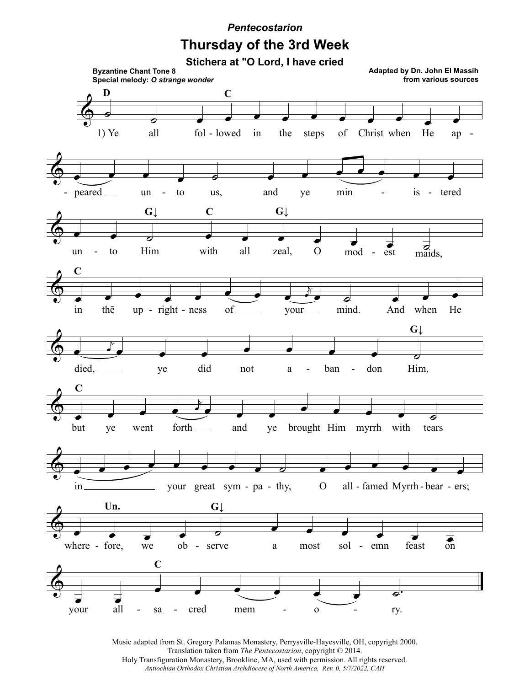## *Pentecostarion*

## **Thursday of the 3rd Week**



Music adapted from St. Gregory Palamas Monastery, Perrysville-Hayesville, OH, copyright 2000. Translation taken from *The Pentecostarion*, copyright © 2014. Holy Transfiguration Monastery, Brookline, MA, used with permission. All rights reserved. *Antiochian Orthodox Christian Archdiocese of North America, Rev. 0, 5/7/2022, CAH*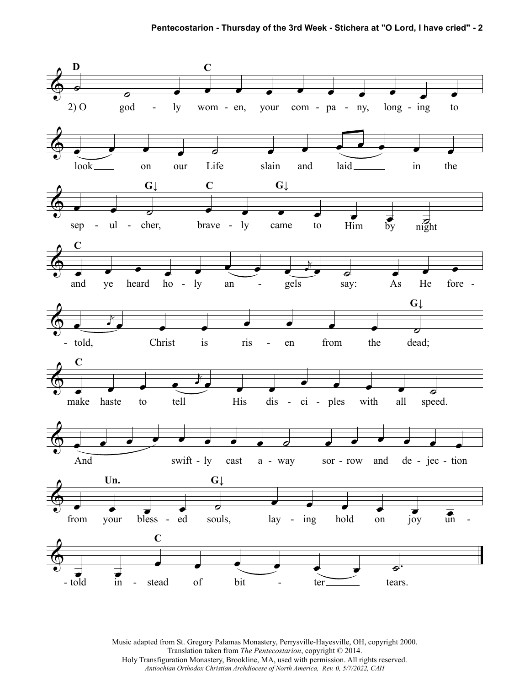

Music adapted from St. Gregory Palamas Monastery, Perrysville-Hayesville, OH, copyright 2000. Translation taken from *The Pentecostarion*, copyright © 2014. Holy Transfiguration Monastery, Brookline, MA, used with permission. All rights reserved. *Antiochian Orthodox Christian Archdiocese of North America, Rev. 0, 5/7/2022, CAH*